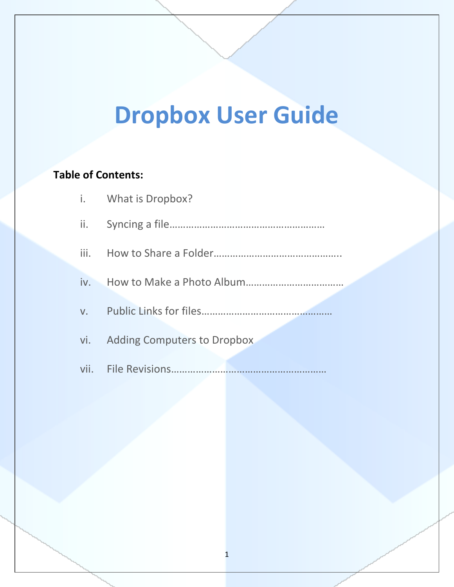# **Dropbox User Guide**

## **Table of Contents:**

|                 | i. What is Dropbox?                |
|-----------------|------------------------------------|
| $\mathbf{ii}$ . |                                    |
|                 |                                    |
|                 |                                    |
|                 |                                    |
| vi.             | <b>Adding Computers to Dropbox</b> |
|                 |                                    |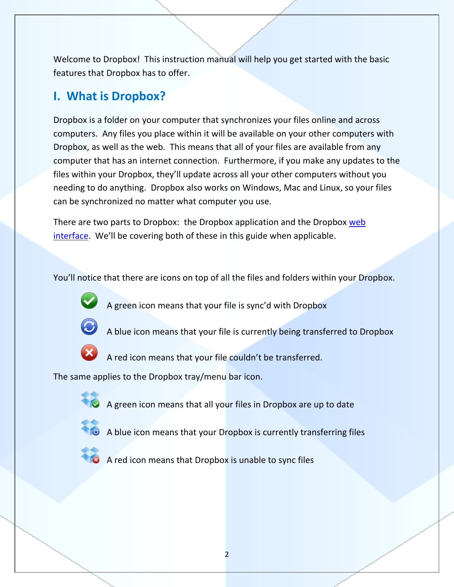Welcome to Dropbox! This instruction manual will help you get started with the basic features that Dropbox has to offer.

## **I. What is Dropbox?**

Dropbox is a folder on your computer that synchronizes your files online and across computers. Any files you place within it will be available on your other computers with Dropbox, as well as the web. This means that all of your files are available from any computer that has an internet connection. Furthermore, if you make any updates to the files within your Dropbox, they'll update across all your other computers without you needing to do anything. Dropbox also works on Windows, Mac and Linux, so your files can be synchronized no matter what computer you use.

There are two parts to Dropbox: the Dropbox application and the Dropbox web [interface](https://www.getdropbox.com/home). We'll be covering both of these in this guide when applicable.

You'll notice that there are icons on top of all the files and folders within your Dropbox.



A green icon means that your file is sync'd with Dropbox



A blue icon means that your file is currently being transferred to Dropbox



A red icon means that your file couldn't be transferred.

The same applies to the Dropbox tray/menu bar icon.



A green icon means that all your files in Dropbox are up to date



 $\bullet$  A blue icon means that your Dropbox is currently transferring files



A red icon means that Dropbox is unable to sync files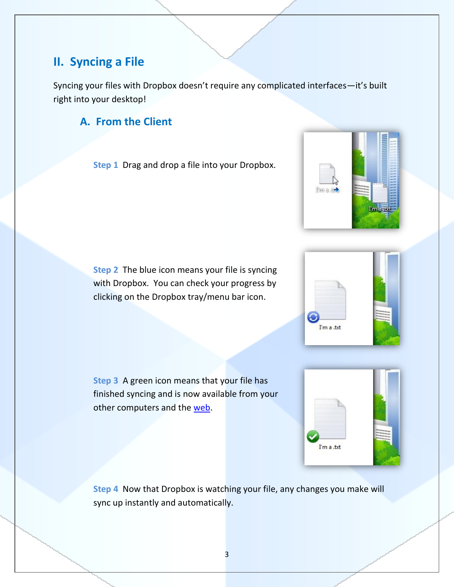## **II. Syncing a File**

Syncing your files with Dropbox doesn't require any complicated interfaces—it's built right into your desktop!

## **A. From the Client**

**Step 1** Drag and drop a file into your Dropbox.

**Step 2** The blue icon means your file is syncing with Dropbox. You can check your progress by clicking on the Dropbox tray/menu bar icon.

**Step 3** A green icon means that your file has finished syncing and is now available from your other computers and the [web.](http://www.getdropbox.com/home)

**Step 4** Now that Dropbox is watching your file, any changes you make will sync up instantly and automatically.





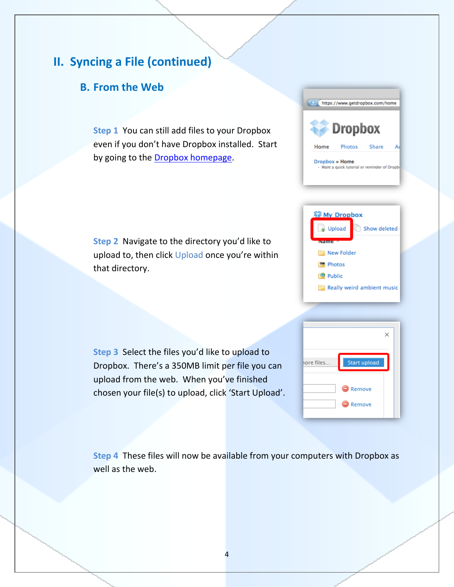## **II. Syncing a File (continued)**

### **B. From the Web**

**Step 1** You can still add files to your Dropbox even if you don't have Dropbox installed. Start by going to the **Dropbox homepage**.

**Step 2** Navigate to the directory you'd like to upload to, then click Upload once you're within that directory.

**Step 3** Select the files you'd like to upload to Dropbox. There's a 350MB limit per file you can upload from the web. When you've finished chosen your file(s) to upload, click 'Start Upload'.







**Step 4** These files will now be available from your computers with Dropbox as well as the web.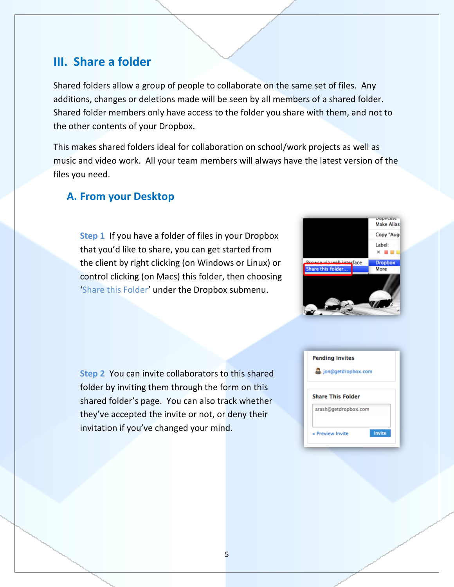## **III. Share a folder**

Shared folders allow a group of people to collaborate on the same set of files. Any additions, changes or deletions made will be seen by all members of a shared folder. Shared folder members only have access to the folder you share with them, and not to the other contents of your Dropbox.

This makes shared folders ideal for collaboration on school/work projects as well as music and video work. All your team members will always have the latest version of the files you need.

#### **A. From your Desktop**

**Step 1** If you have a folder of files in your Dropbox that you'd like to share, you can get started from the client by right clicking (on Windows or Linux) or control clicking (on Macs) this folder, then choosing 'Share this Folder' under the Dropbox submenu.



**Step 2** You can invite collaborators to this shared folder by inviting them through the form on this shared folder's page. You can also track whether they've accepted the invite or not, or deny their invitation if you've changed your mind.

| <b>Pending Invites</b><br>jon@getdropbox.com     |        |  |
|--------------------------------------------------|--------|--|
| <b>Share This Folder</b><br>arash@getdropbox.com |        |  |
| » Preview Invite                                 | Invite |  |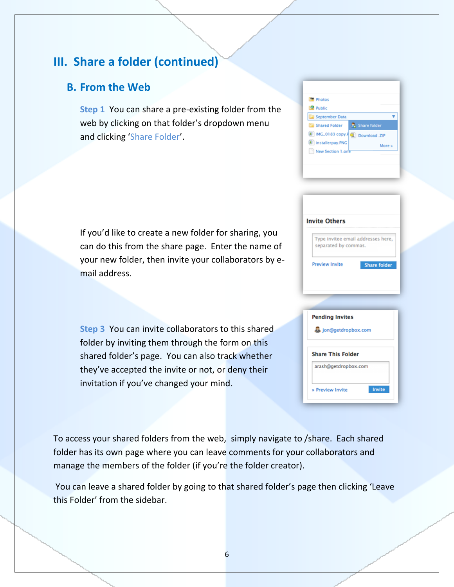## **III. Share a folder (continued)**

#### **B. From the Web**

**Step 1** You can share a pre-existing folder from the web by clicking on that folder's dropdown menu and clicking 'Share Folder'.

If you'd like to create a new folder for sharing, you can do this from the share page. Enter the name of your new folder, then invite your collaborators by email address.

**Step 3** You can invite collaborators to this shared folder by inviting them through the form on this shared folder's page. You can also track whether they've accepted the invite or not, or deny their invitation if you've changed your mind.

| <b>Photos</b>                   |              |
|---------------------------------|--------------|
| <b>Public</b>                   |              |
| September Data                  |              |
| <b>Earl Shared Folder</b>       | Share folder |
| IMG_0183 copy.F Q Download .ZIP |              |
| 图 installerpay.PNG              | More »       |
| New Section 1.one               |              |
|                                 |              |
|                                 |              |

| Type invitee email addresses here,<br>separated by commas. |                     |
|------------------------------------------------------------|---------------------|
|                                                            |                     |
| <b>Preview Invite</b>                                      | <b>Share folder</b> |
|                                                            |                     |

| <b>Pending Invites</b>     |  |  |
|----------------------------|--|--|
| jon@getdropbox.com         |  |  |
|                            |  |  |
| <b>Share This Folder</b>   |  |  |
| arash@getdropbox.com       |  |  |
| Invite<br>» Preview Invite |  |  |
|                            |  |  |

To access your shared folders from the web, simply navigate to /share. Each shared folder has its own page where you can leave comments for your collaborators and manage the members of the folder (if you're the folder creator).

You can leave a shared folder by going to that shared folder's page then clicking 'Leave this Folder' from the sidebar.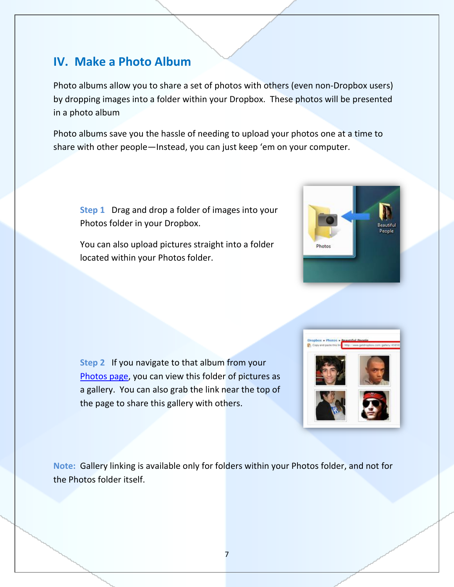## **IV. Make a Photo Album**

Photo albums allow you to share a set of photos with others (even non-Dropbox users) by dropping images into a folder within your Dropbox. These photos will be presented in a photo album

Photo albums save you the hassle of needing to upload your photos one at a time to share with other people—Instead, you can just keep 'em on your computer.

**Step 1** Drag and drop a folder of images into your Photos folder in your Dropbox.

You can also upload pictures straight into a folder located within your Photos folder.





**Note:** Gallery linking is available only for folders within your Photos folder, and not for the Photos folder itself.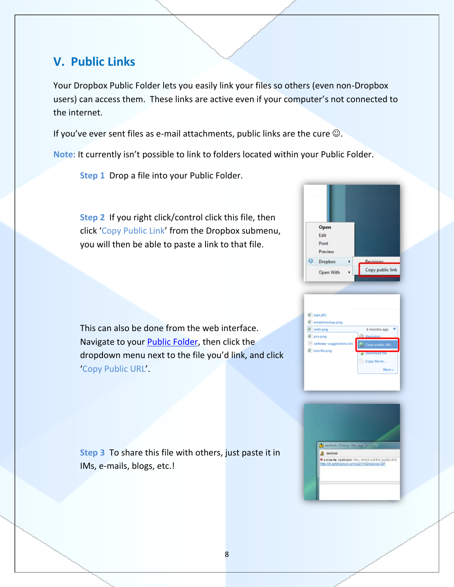## **V. Public Links**

Your Dropbox Public Folder lets you easily link your files so others (even non-Dropbox users) can access them. These links are active even if your computer's not connected to the internet.

If you've ever sent files as e-mail attachments, public links are the cure  $\odot$ .

**Note:** It currently isn't possible to link to folders located within your Public Folder.

**Step 1** Drop a file into your Public Folder.

**Step 2** If you right click/control click this file, then click 'Copy Public Link' from the Dropbox submenu, you will then be able to paste a link to that file.

Open Edit Print Preview **Dropbox** Copy public link Open With



This can also be done from the web interface. Navigate to your **Public Folder**, then click the dropdown menu next to the file you'd link, and click 'Copy Public URL'.

**Step 3** To share this file with others, just paste it in IMs, e-mails, blogs, etc.!

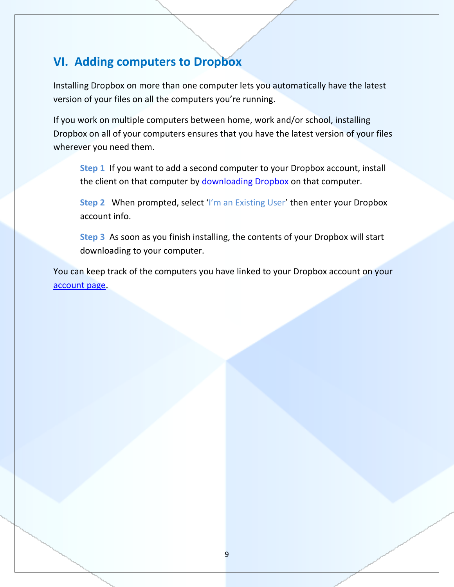# **VI. Adding computers to Dropbox**

Installing Dropbox on more than one computer lets you automatically have the latest version of your files on all the computers you're running.

If you work on multiple computers between home, work and/or school, installing Dropbox on all of your computers ensures that you have the latest version of your files wherever you need them.

**Step 1** If you want to add a second computer to your Dropbox account, install the client on that computer by [downloading Dropbox](http://www.getdropbox.com/install) on that computer.

**Step 2** When prompted, select 'I'm an Existing User' then enter your Dropbox account info.

**Step 3** As soon as you finish installing, the contents of your Dropbox will start downloading to your computer.

You can keep track of the computers you have linked to your Dropbox account on your [account page.](https://www.getdropbox.com/account#manage)